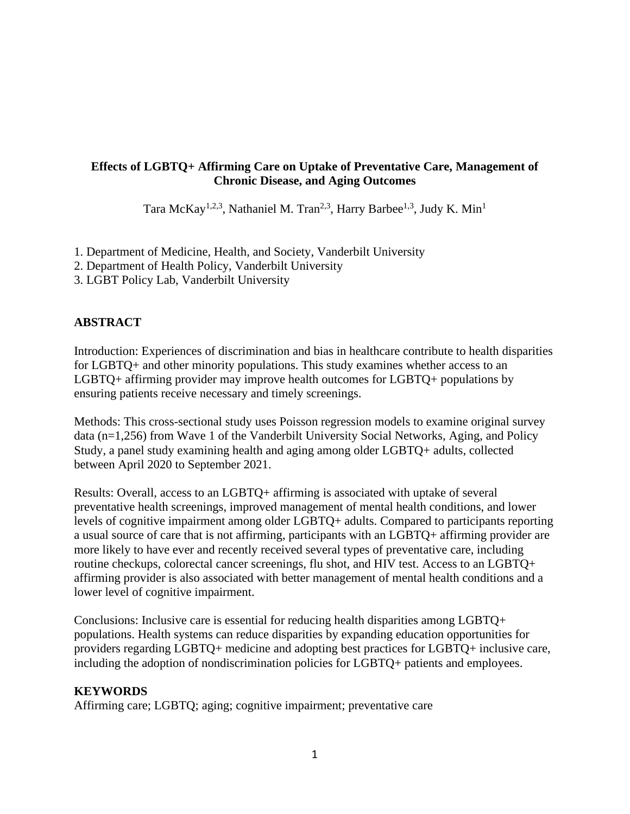# **Effects of LGBTQ+ Affirming Care on Uptake of Preventative Care, Management of Chronic Disease, and Aging Outcomes**

Tara McKay<sup>1,2,3</sup>, Nathaniel M. Tran<sup>2,3</sup>, Harry Barbee<sup>1,3</sup>, Judy K. Min<sup>1</sup>

- 1. Department of Medicine, Health, and Society, Vanderbilt University
- 2. Department of Health Policy, Vanderbilt University
- 3. LGBT Policy Lab, Vanderbilt University

# **ABSTRACT**

Introduction: Experiences of discrimination and bias in healthcare contribute to health disparities for LGBTQ+ and other minority populations. This study examines whether access to an LGBTQ+ affirming provider may improve health outcomes for LGBTQ+ populations by ensuring patients receive necessary and timely screenings.

Methods: This cross-sectional study uses Poisson regression models to examine original survey data (n=1,256) from Wave 1 of the Vanderbilt University Social Networks, Aging, and Policy Study, a panel study examining health and aging among older LGBTQ+ adults, collected between April 2020 to September 2021.

Results: Overall, access to an LGBTQ+ affirming is associated with uptake of several preventative health screenings, improved management of mental health conditions, and lower levels of cognitive impairment among older LGBTQ+ adults. Compared to participants reporting a usual source of care that is not affirming, participants with an LGBTQ+ affirming provider are more likely to have ever and recently received several types of preventative care, including routine checkups, colorectal cancer screenings, flu shot, and HIV test. Access to an LGBTQ+ affirming provider is also associated with better management of mental health conditions and a lower level of cognitive impairment.

Conclusions: Inclusive care is essential for reducing health disparities among LGBTQ+ populations. Health systems can reduce disparities by expanding education opportunities for providers regarding LGBTQ+ medicine and adopting best practices for LGBTQ+ inclusive care, including the adoption of nondiscrimination policies for LGBTQ+ patients and employees.

# **KEYWORDS**

Affirming care; LGBTQ; aging; cognitive impairment; preventative care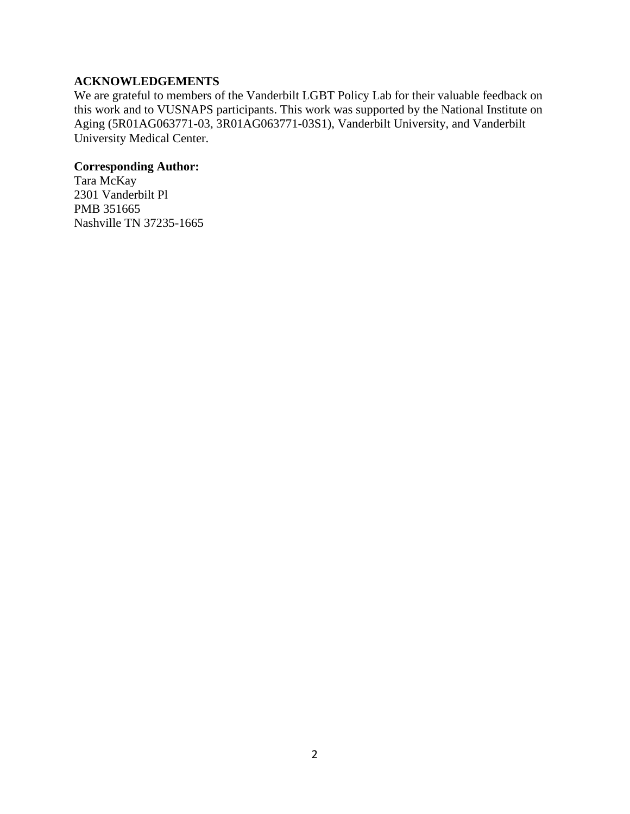# **ACKNOWLEDGEMENTS**

We are grateful to members of the Vanderbilt LGBT Policy Lab for their valuable feedback on this work and to VUSNAPS participants. This work was supported by the National Institute on Aging (5R01AG063771-03, 3R01AG063771-03S1), Vanderbilt University, and Vanderbilt University Medical Center.

# **Corresponding Author:**

Tara McKay 2301 Vanderbilt Pl PMB 351665 Nashville TN 37235-1665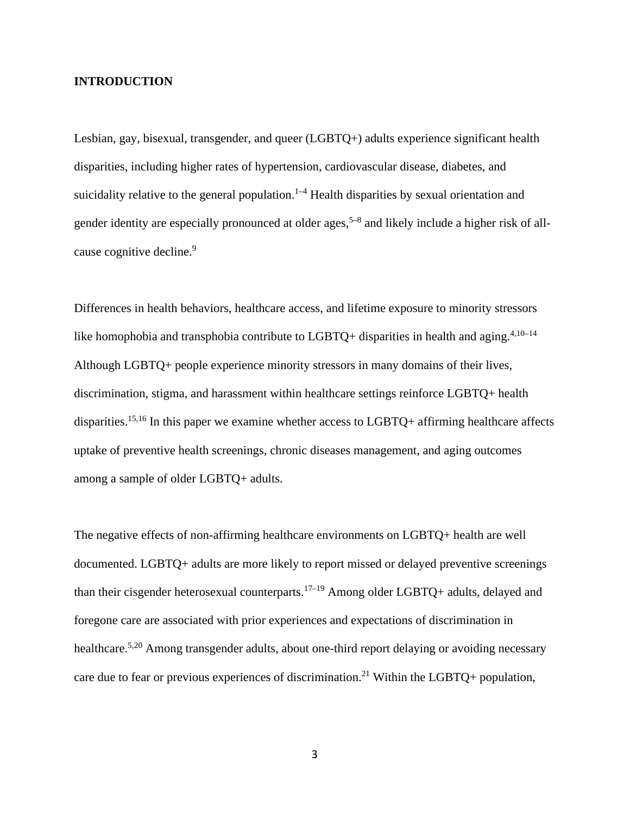## **INTRODUCTION**

Lesbian, gay, bisexual, transgender, and queer (LGBTQ+) adults experience significant health disparities, including higher rates of hypertension, cardiovascular disease, diabetes, and suicidality relative to the general population.<sup>1-4</sup> Health disparities by sexual orientation and gender identity are especially pronounced at older ages,<sup>5–8</sup> and likely include a higher risk of allcause cognitive decline.<sup>9</sup>

Differences in health behaviors, healthcare access, and lifetime exposure to minority stressors like homophobia and transphobia contribute to LGBTQ+ disparities in health and aging.<sup>4,10-14</sup> Although LGBTQ+ people experience minority stressors in many domains of their lives, discrimination, stigma, and harassment within healthcare settings reinforce LGBTQ+ health disparities.<sup>15,16</sup> In this paper we examine whether access to LGBTQ+ affirming healthcare affects uptake of preventive health screenings, chronic diseases management, and aging outcomes among a sample of older LGBTQ+ adults.

The negative effects of non-affirming healthcare environments on LGBTQ+ health are well documented. LGBTQ+ adults are more likely to report missed or delayed preventive screenings than their cisgender heterosexual counterparts.17–19 Among older LGBTQ+ adults, delayed and foregone care are associated with prior experiences and expectations of discrimination in healthcare.<sup>5,20</sup> Among transgender adults, about one-third report delaying or avoiding necessary care due to fear or previous experiences of discrimination.<sup>21</sup> Within the LGBTQ+ population,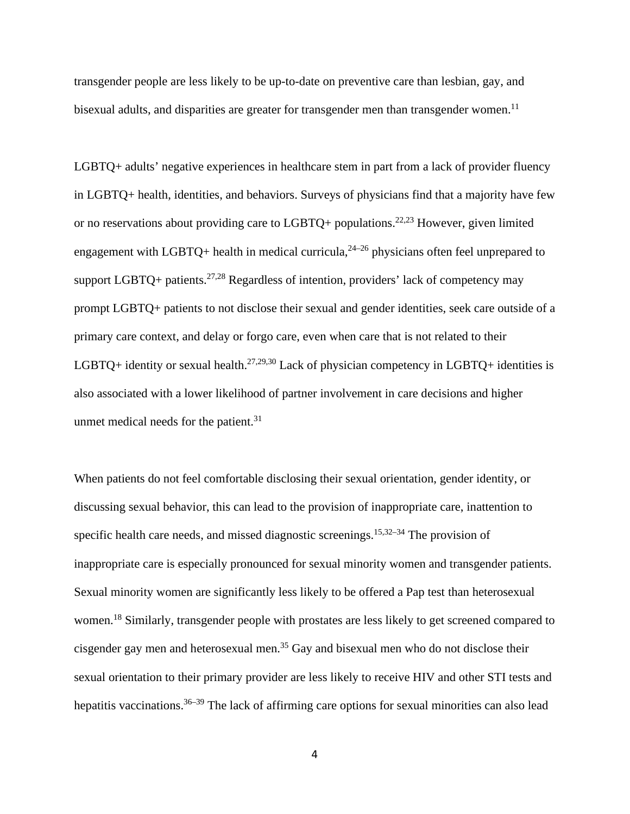transgender people are less likely to be up-to-date on preventive care than lesbian, gay, and bisexual adults, and disparities are greater for transgender men than transgender women.<sup>11</sup>

LGBTQ+ adults' negative experiences in healthcare stem in part from a lack of provider fluency in LGBTQ+ health, identities, and behaviors. Surveys of physicians find that a majority have few or no reservations about providing care to LGBTQ+ populations.<sup>22,23</sup> However, given limited engagement with LGBTQ+ health in medical curricula,  $24-26$  physicians often feel unprepared to support LGBTQ+ patients.<sup>27,28</sup> Regardless of intention, providers' lack of competency may prompt LGBTQ+ patients to not disclose their sexual and gender identities, seek care outside of a primary care context, and delay or forgo care, even when care that is not related to their LGBTQ+ identity or sexual health.<sup>27,29,30</sup> Lack of physician competency in LGBTQ+ identities is also associated with a lower likelihood of partner involvement in care decisions and higher unmet medical needs for the patient. $31$ 

When patients do not feel comfortable disclosing their sexual orientation, gender identity, or discussing sexual behavior, this can lead to the provision of inappropriate care, inattention to specific health care needs, and missed diagnostic screenings.<sup>15,32–34</sup> The provision of inappropriate care is especially pronounced for sexual minority women and transgender patients. Sexual minority women are significantly less likely to be offered a Pap test than heterosexual women.<sup>18</sup> Similarly, transgender people with prostates are less likely to get screened compared to cisgender gay men and heterosexual men.<sup>35</sup> Gay and bisexual men who do not disclose their sexual orientation to their primary provider are less likely to receive HIV and other STI tests and hepatitis vaccinations.<sup>36–39</sup> The lack of affirming care options for sexual minorities can also lead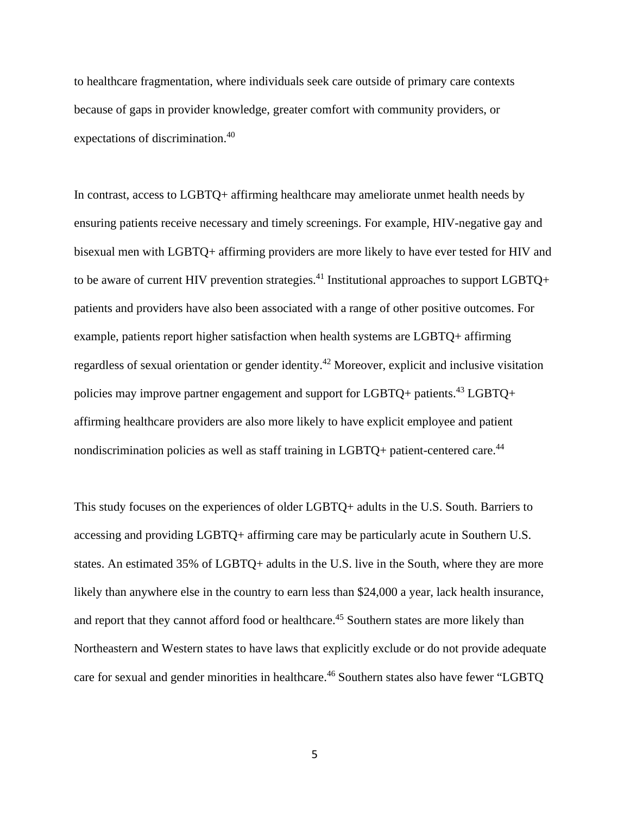to healthcare fragmentation, where individuals seek care outside of primary care contexts because of gaps in provider knowledge, greater comfort with community providers, or expectations of discrimination.<sup>40</sup>

In contrast, access to LGBTQ+ affirming healthcare may ameliorate unmet health needs by ensuring patients receive necessary and timely screenings. For example, HIV-negative gay and bisexual men with LGBTQ+ affirming providers are more likely to have ever tested for HIV and to be aware of current HIV prevention strategies.<sup>41</sup> Institutional approaches to support LGBTO+ patients and providers have also been associated with a range of other positive outcomes. For example, patients report higher satisfaction when health systems are LGBTQ+ affirming regardless of sexual orientation or gender identity.<sup>42</sup> Moreover, explicit and inclusive visitation policies may improve partner engagement and support for LGBTQ+ patients.<sup>43</sup> LGBTQ+ affirming healthcare providers are also more likely to have explicit employee and patient nondiscrimination policies as well as staff training in LGBTO+ patient-centered care.<sup>44</sup>

This study focuses on the experiences of older LGBTQ+ adults in the U.S. South. Barriers to accessing and providing LGBTQ+ affirming care may be particularly acute in Southern U.S. states. An estimated 35% of LGBTQ+ adults in the U.S. live in the South, where they are more likely than anywhere else in the country to earn less than \$24,000 a year, lack health insurance, and report that they cannot afford food or healthcare.<sup>45</sup> Southern states are more likely than Northeastern and Western states to have laws that explicitly exclude or do not provide adequate care for sexual and gender minorities in healthcare.<sup>46</sup> Southern states also have fewer "LGBTQ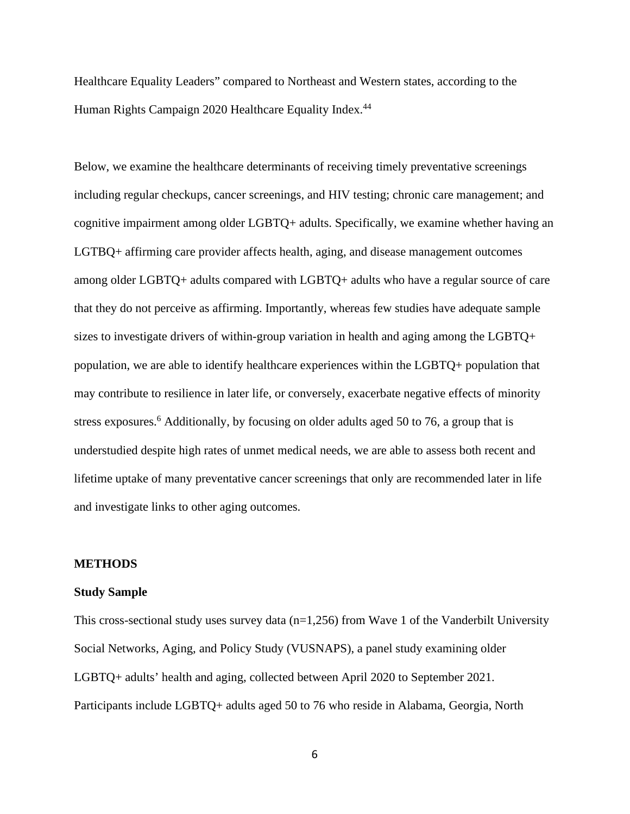Healthcare Equality Leaders" compared to Northeast and Western states, according to the Human Rights Campaign 2020 Healthcare Equality Index.<sup>44</sup>

Below, we examine the healthcare determinants of receiving timely preventative screenings including regular checkups, cancer screenings, and HIV testing; chronic care management; and cognitive impairment among older LGBTQ+ adults. Specifically, we examine whether having an LGTBQ+ affirming care provider affects health, aging, and disease management outcomes among older LGBTQ+ adults compared with LGBTQ+ adults who have a regular source of care that they do not perceive as affirming. Importantly, whereas few studies have adequate sample sizes to investigate drivers of within-group variation in health and aging among the LGBTQ+ population, we are able to identify healthcare experiences within the LGBTQ+ population that may contribute to resilience in later life, or conversely, exacerbate negative effects of minority stress exposures. <sup>6</sup> Additionally, by focusing on older adults aged 50 to 76, a group that is understudied despite high rates of unmet medical needs, we are able to assess both recent and lifetime uptake of many preventative cancer screenings that only are recommended later in life and investigate links to other aging outcomes.

#### **METHODS**

#### **Study Sample**

This cross-sectional study uses survey data  $(n=1,256)$  from Wave 1 of the Vanderbilt University Social Networks, Aging, and Policy Study (VUSNAPS), a panel study examining older LGBTQ+ adults' health and aging, collected between April 2020 to September 2021. Participants include LGBTQ+ adults aged 50 to 76 who reside in Alabama, Georgia, North

6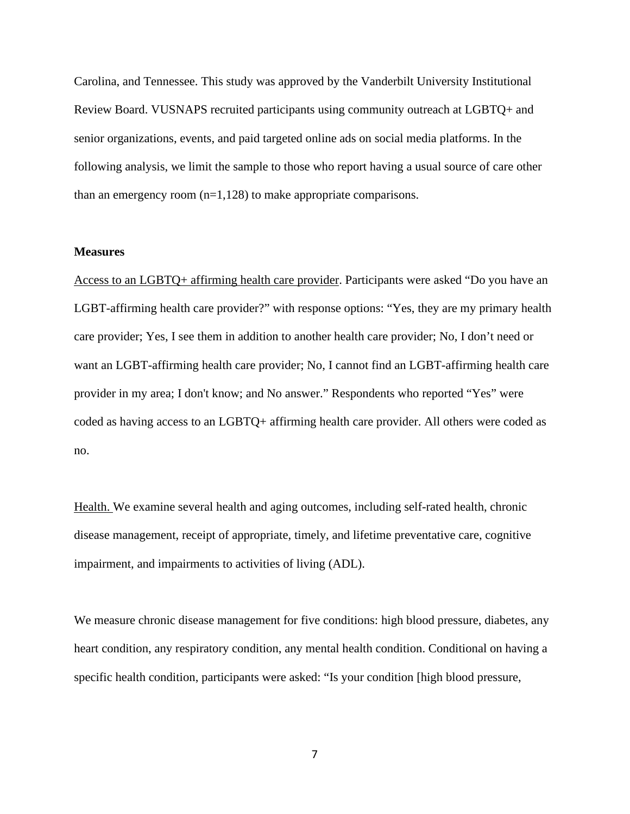Carolina, and Tennessee. This study was approved by the Vanderbilt University Institutional Review Board. VUSNAPS recruited participants using community outreach at LGBTQ+ and senior organizations, events, and paid targeted online ads on social media platforms. In the following analysis, we limit the sample to those who report having a usual source of care other than an emergency room  $(n=1,128)$  to make appropriate comparisons.

## **Measures**

Access to an LGBTQ+ affirming health care provider. Participants were asked "Do you have an LGBT-affirming health care provider?" with response options: "Yes, they are my primary health care provider; Yes, I see them in addition to another health care provider; No, I don't need or want an LGBT-affirming health care provider; No, I cannot find an LGBT-affirming health care provider in my area; I don't know; and No answer." Respondents who reported "Yes" were coded as having access to an LGBTQ+ affirming health care provider. All others were coded as no.

Health. We examine several health and aging outcomes, including self-rated health, chronic disease management, receipt of appropriate, timely, and lifetime preventative care, cognitive impairment, and impairments to activities of living (ADL).

We measure chronic disease management for five conditions: high blood pressure, diabetes, any heart condition, any respiratory condition, any mental health condition. Conditional on having a specific health condition, participants were asked: "Is your condition [high blood pressure,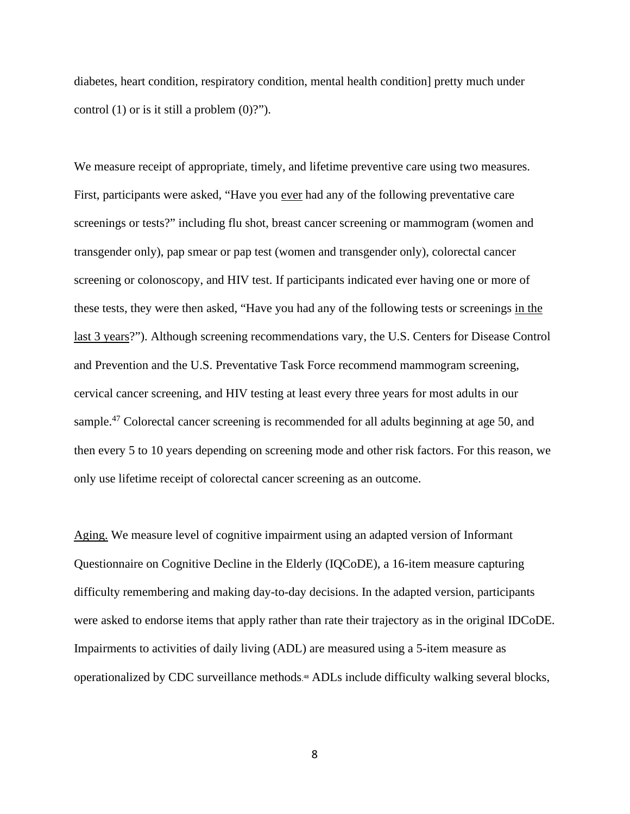diabetes, heart condition, respiratory condition, mental health condition] pretty much under control  $(1)$  or is it still a problem  $(0)$ ?").

We measure receipt of appropriate, timely, and lifetime preventive care using two measures. First, participants were asked, "Have you ever had any of the following preventative care screenings or tests?" including flu shot, breast cancer screening or mammogram (women and transgender only), pap smear or pap test (women and transgender only), colorectal cancer screening or colonoscopy, and HIV test. If participants indicated ever having one or more of these tests, they were then asked, "Have you had any of the following tests or screenings in the last 3 years?"). Although screening recommendations vary, the U.S. Centers for Disease Control and Prevention and the U.S. Preventative Task Force recommend mammogram screening, cervical cancer screening, and HIV testing at least every three years for most adults in our sample.<sup>47</sup> Colorectal cancer screening is recommended for all adults beginning at age 50, and then every 5 to 10 years depending on screening mode and other risk factors. For this reason, we only use lifetime receipt of colorectal cancer screening as an outcome.

Aging. We measure level of cognitive impairment using an adapted version of Informant Questionnaire on Cognitive Decline in the Elderly (IQCoDE), a 16-item measure capturing difficulty remembering and making day-to-day decisions. In the adapted version, participants were asked to endorse items that apply rather than rate their trajectory as in the original IDCoDE. Impairments to activities of daily living (ADL) are measured using a 5-item measure as operationalized by CDC surveillance methods. <sup>48</sup> ADLs include difficulty walking several blocks,

8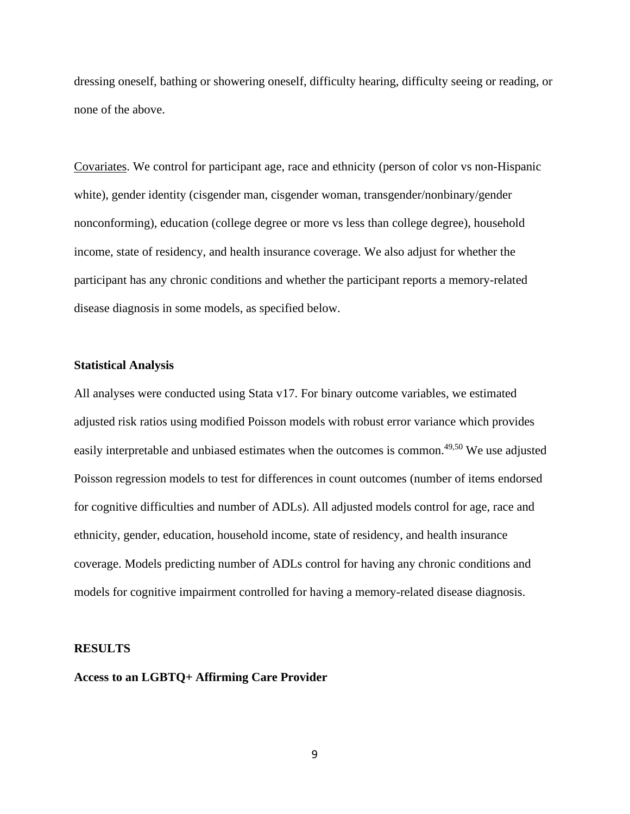dressing oneself, bathing or showering oneself, difficulty hearing, difficulty seeing or reading, or none of the above.

Covariates. We control for participant age, race and ethnicity (person of color vs non-Hispanic white), gender identity (cisgender man, cisgender woman, transgender/nonbinary/gender nonconforming), education (college degree or more vs less than college degree), household income, state of residency, and health insurance coverage. We also adjust for whether the participant has any chronic conditions and whether the participant reports a memory-related disease diagnosis in some models, as specified below.

## **Statistical Analysis**

All analyses were conducted using Stata v17. For binary outcome variables, we estimated adjusted risk ratios using modified Poisson models with robust error variance which provides easily interpretable and unbiased estimates when the outcomes is common.<sup>49,50</sup> We use adjusted Poisson regression models to test for differences in count outcomes (number of items endorsed for cognitive difficulties and number of ADLs). All adjusted models control for age, race and ethnicity, gender, education, household income, state of residency, and health insurance coverage. Models predicting number of ADLs control for having any chronic conditions and models for cognitive impairment controlled for having a memory-related disease diagnosis.

#### **RESULTS**

## **Access to an LGBTQ+ Affirming Care Provider**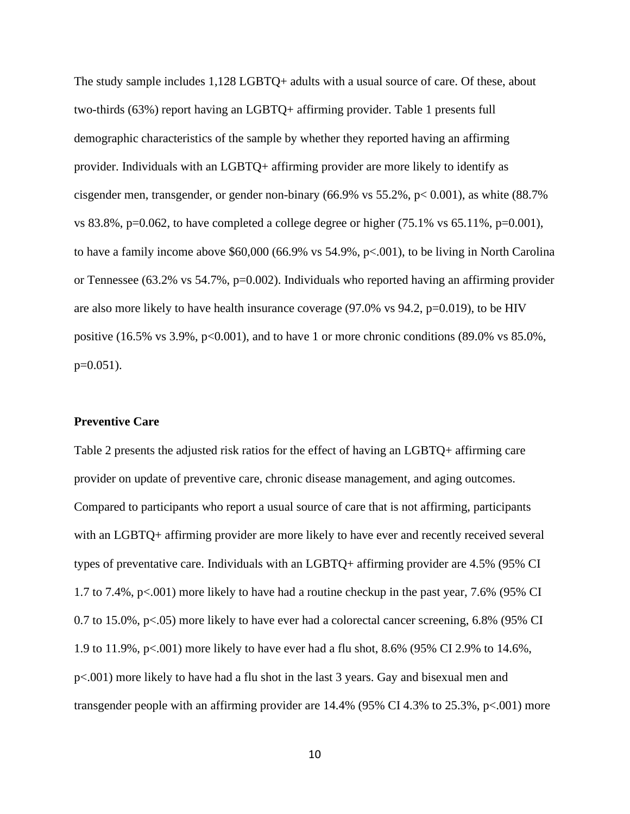The study sample includes 1,128 LGBTQ+ adults with a usual source of care. Of these, about two-thirds (63%) report having an LGBTQ+ affirming provider. Table 1 presents full demographic characteristics of the sample by whether they reported having an affirming provider. Individuals with an LGBTQ+ affirming provider are more likely to identify as cisgender men, transgender, or gender non-binary (66.9% vs 55.2%, p< 0.001), as white (88.7% vs 83.8%, p=0.062, to have completed a college degree or higher  $(75.1\% \text{ vs } 65.11\%, \text{p=0.001})$ , to have a family income above \$60,000 (66.9% vs 54.9%, p<.001), to be living in North Carolina or Tennessee (63.2% vs 54.7%, p=0.002). Individuals who reported having an affirming provider are also more likely to have health insurance coverage  $(97.0\%$  vs  $94.2$ ,  $p=0.019$ ), to be HIV positive  $(16.5\% \text{ vs } 3.9\%, \text{ p} < 0.001)$ , and to have 1 or more chronic conditions  $(89.0\% \text{ vs } 85.0\%$ ,  $p=0.051$ ).

## **Preventive Care**

Table 2 presents the adjusted risk ratios for the effect of having an LGBTQ+ affirming care provider on update of preventive care, chronic disease management, and aging outcomes. Compared to participants who report a usual source of care that is not affirming, participants with an LGBTQ+ affirming provider are more likely to have ever and recently received several types of preventative care. Individuals with an LGBTQ+ affirming provider are 4.5% (95% CI 1.7 to 7.4%, p<.001) more likely to have had a routine checkup in the past year, 7.6% (95% CI 0.7 to 15.0%, p<.05) more likely to have ever had a colorectal cancer screening, 6.8% (95% CI 1.9 to 11.9%, p<.001) more likely to have ever had a flu shot, 8.6% (95% CI 2.9% to 14.6%, p<.001) more likely to have had a flu shot in the last 3 years. Gay and bisexual men and transgender people with an affirming provider are 14.4% (95% CI 4.3% to 25.3%, p<.001) more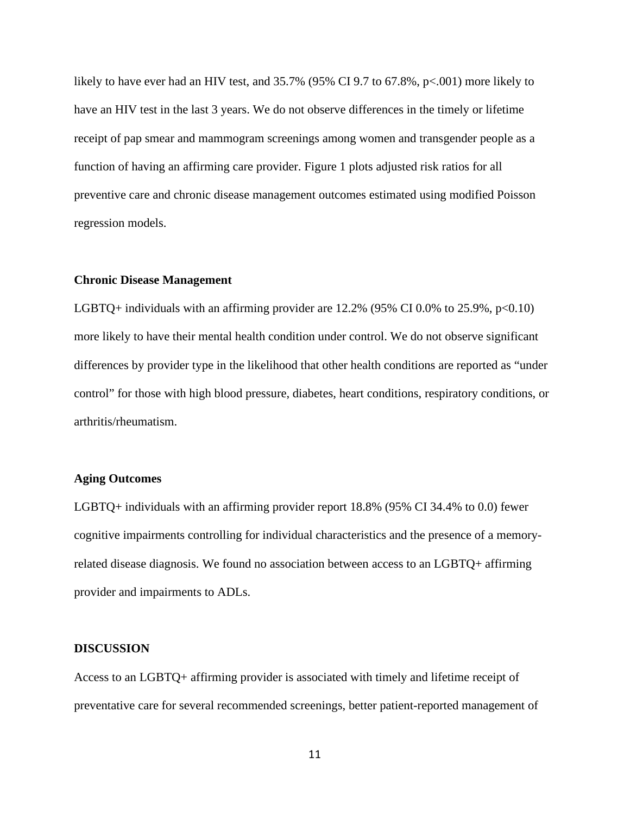likely to have ever had an HIV test, and 35.7% (95% CI 9.7 to 67.8%, p<.001) more likely to have an HIV test in the last 3 years. We do not observe differences in the timely or lifetime receipt of pap smear and mammogram screenings among women and transgender people as a function of having an affirming care provider. Figure 1 plots adjusted risk ratios for all preventive care and chronic disease management outcomes estimated using modified Poisson regression models.

#### **Chronic Disease Management**

LGBTQ+ individuals with an affirming provider are  $12.2\%$  (95% CI 0.0% to 25.9%, p<0.10) more likely to have their mental health condition under control. We do not observe significant differences by provider type in the likelihood that other health conditions are reported as "under control" for those with high blood pressure, diabetes, heart conditions, respiratory conditions, or arthritis/rheumatism.

# **Aging Outcomes**

LGBTQ+ individuals with an affirming provider report 18.8% (95% CI 34.4% to 0.0) fewer cognitive impairments controlling for individual characteristics and the presence of a memoryrelated disease diagnosis. We found no association between access to an LGBTQ+ affirming provider and impairments to ADLs.

#### **DISCUSSION**

Access to an LGBTQ+ affirming provider is associated with timely and lifetime receipt of preventative care for several recommended screenings, better patient-reported management of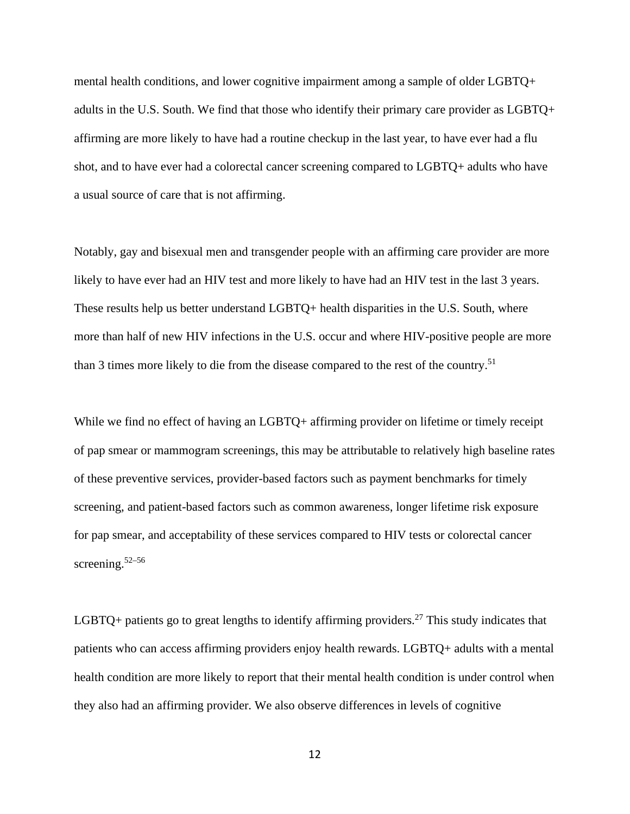mental health conditions, and lower cognitive impairment among a sample of older LGBTQ+ adults in the U.S. South. We find that those who identify their primary care provider as LGBTQ+ affirming are more likely to have had a routine checkup in the last year, to have ever had a flu shot, and to have ever had a colorectal cancer screening compared to LGBTQ+ adults who have a usual source of care that is not affirming.

Notably, gay and bisexual men and transgender people with an affirming care provider are more likely to have ever had an HIV test and more likely to have had an HIV test in the last 3 years. These results help us better understand LGBTQ+ health disparities in the U.S. South, where more than half of new HIV infections in the U.S. occur and where HIV-positive people are more than 3 times more likely to die from the disease compared to the rest of the country.<sup>51</sup>

While we find no effect of having an LGBTQ+ affirming provider on lifetime or timely receipt of pap smear or mammogram screenings, this may be attributable to relatively high baseline rates of these preventive services, provider-based factors such as payment benchmarks for timely screening, and patient-based factors such as common awareness, longer lifetime risk exposure for pap smear, and acceptability of these services compared to HIV tests or colorectal cancer screening. 52–56

LGBTQ+ patients go to great lengths to identify affirming providers.<sup>27</sup> This study indicates that patients who can access affirming providers enjoy health rewards. LGBTQ+ adults with a mental health condition are more likely to report that their mental health condition is under control when they also had an affirming provider. We also observe differences in levels of cognitive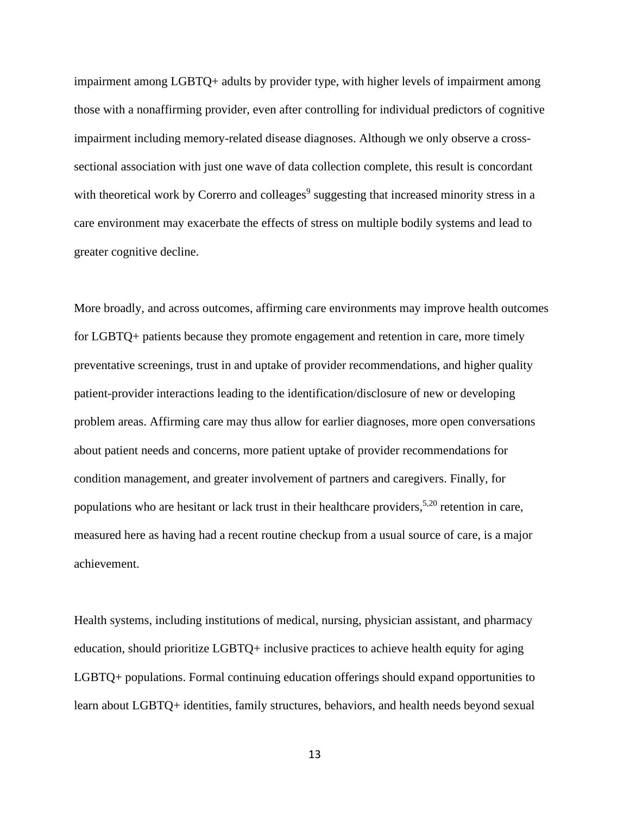impairment among LGBTQ+ adults by provider type, with higher levels of impairment among those with a nonaffirming provider, even after controlling for individual predictors of cognitive impairment including memory-related disease diagnoses. Although we only observe a crosssectional association with just one wave of data collection complete, this result is concordant with theoretical work by Corerro and colleages<sup>9</sup> suggesting that increased minority stress in a care environment may exacerbate the effects of stress on multiple bodily systems and lead to greater cognitive decline.

More broadly, and across outcomes, affirming care environments may improve health outcomes for LGBTQ+ patients because they promote engagement and retention in care, more timely preventative screenings, trust in and uptake of provider recommendations, and higher quality patient-provider interactions leading to the identification/disclosure of new or developing problem areas. Affirming care may thus allow for earlier diagnoses, more open conversations about patient needs and concerns, more patient uptake of provider recommendations for condition management, and greater involvement of partners and caregivers. Finally, for populations who are hesitant or lack trust in their healthcare providers,<sup>5,20</sup> retention in care, measured here as having had a recent routine checkup from a usual source of care, is a major achievement.

Health systems, including institutions of medical, nursing, physician assistant, and pharmacy education, should prioritize LGBTQ+ inclusive practices to achieve health equity for aging LGBTQ+ populations. Formal continuing education offerings should expand opportunities to learn about LGBTQ+ identities, family structures, behaviors, and health needs beyond sexual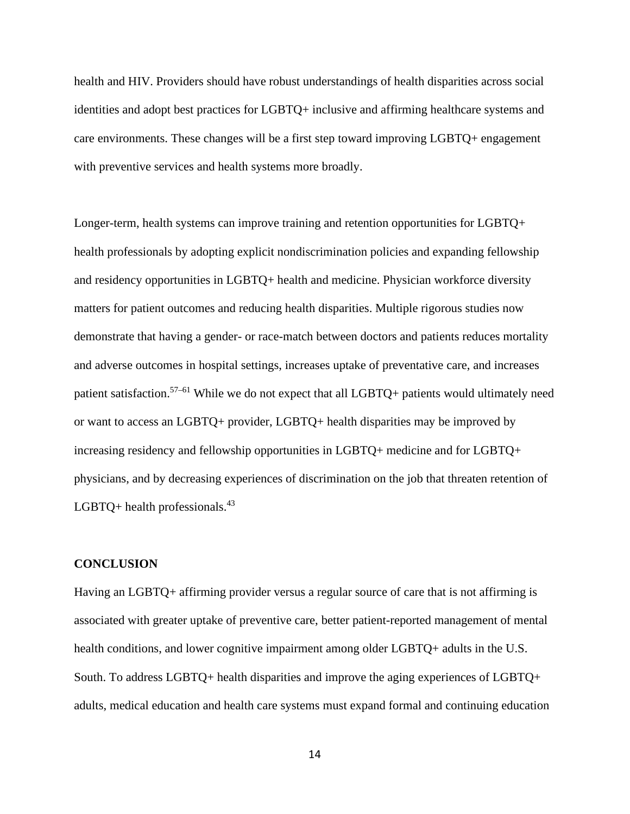health and HIV. Providers should have robust understandings of health disparities across social identities and adopt best practices for LGBTQ+ inclusive and affirming healthcare systems and care environments. These changes will be a first step toward improving LGBTQ+ engagement with preventive services and health systems more broadly.

Longer-term, health systems can improve training and retention opportunities for LGBTQ+ health professionals by adopting explicit nondiscrimination policies and expanding fellowship and residency opportunities in LGBTQ+ health and medicine. Physician workforce diversity matters for patient outcomes and reducing health disparities. Multiple rigorous studies now demonstrate that having a gender- or race-match between doctors and patients reduces mortality and adverse outcomes in hospital settings, increases uptake of preventative care, and increases patient satisfaction.<sup>57-61</sup> While we do not expect that all LGBTQ+ patients would ultimately need or want to access an LGBTQ+ provider, LGBTQ+ health disparities may be improved by increasing residency and fellowship opportunities in LGBTQ+ medicine and for LGBTQ+ physicians, and by decreasing experiences of discrimination on the job that threaten retention of LGBTQ+ health professionals. $43$ 

#### **CONCLUSION**

Having an LGBTQ+ affirming provider versus a regular source of care that is not affirming is associated with greater uptake of preventive care, better patient-reported management of mental health conditions, and lower cognitive impairment among older LGBTQ+ adults in the U.S. South. To address LGBTQ+ health disparities and improve the aging experiences of LGBTQ+ adults, medical education and health care systems must expand formal and continuing education

14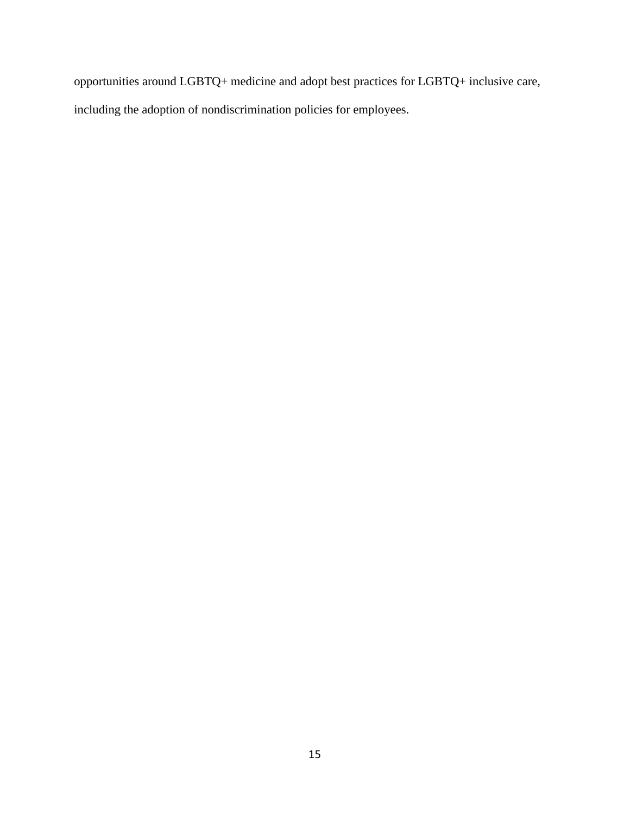opportunities around LGBTQ+ medicine and adopt best practices for LGBTQ+ inclusive care, including the adoption of nondiscrimination policies for employees.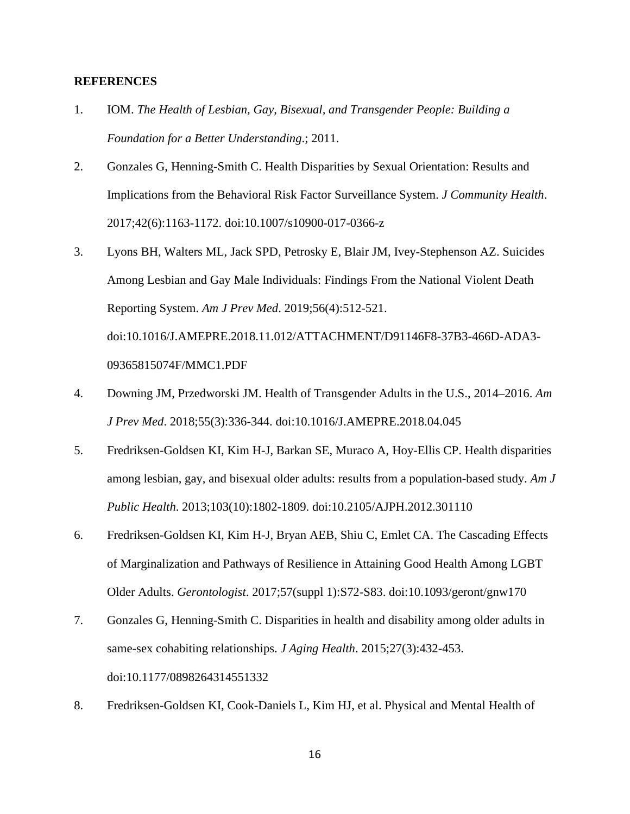## **REFERENCES**

- 1. IOM. *The Health of Lesbian, Gay, Bisexual, and Transgender People: Building a Foundation for a Better Understanding*.; 2011.
- 2. Gonzales G, Henning-Smith C. Health Disparities by Sexual Orientation: Results and Implications from the Behavioral Risk Factor Surveillance System. *J Community Health*. 2017;42(6):1163-1172. doi:10.1007/s10900-017-0366-z
- 3. Lyons BH, Walters ML, Jack SPD, Petrosky E, Blair JM, Ivey-Stephenson AZ. Suicides Among Lesbian and Gay Male Individuals: Findings From the National Violent Death Reporting System. *Am J Prev Med*. 2019;56(4):512-521. doi:10.1016/J.AMEPRE.2018.11.012/ATTACHMENT/D91146F8-37B3-466D-ADA3- 09365815074F/MMC1.PDF
- 4. Downing JM, Przedworski JM. Health of Transgender Adults in the U.S., 2014–2016. *Am J Prev Med*. 2018;55(3):336-344. doi:10.1016/J.AMEPRE.2018.04.045
- 5. Fredriksen-Goldsen KI, Kim H-J, Barkan SE, Muraco A, Hoy-Ellis CP. Health disparities among lesbian, gay, and bisexual older adults: results from a population-based study. *Am J Public Health*. 2013;103(10):1802-1809. doi:10.2105/AJPH.2012.301110
- 6. Fredriksen-Goldsen KI, Kim H-J, Bryan AEB, Shiu C, Emlet CA. The Cascading Effects of Marginalization and Pathways of Resilience in Attaining Good Health Among LGBT Older Adults. *Gerontologist*. 2017;57(suppl 1):S72-S83. doi:10.1093/geront/gnw170
- 7. Gonzales G, Henning-Smith C. Disparities in health and disability among older adults in same-sex cohabiting relationships. *J Aging Health*. 2015;27(3):432-453. doi:10.1177/0898264314551332
- 8. Fredriksen-Goldsen KI, Cook-Daniels L, Kim HJ, et al. Physical and Mental Health of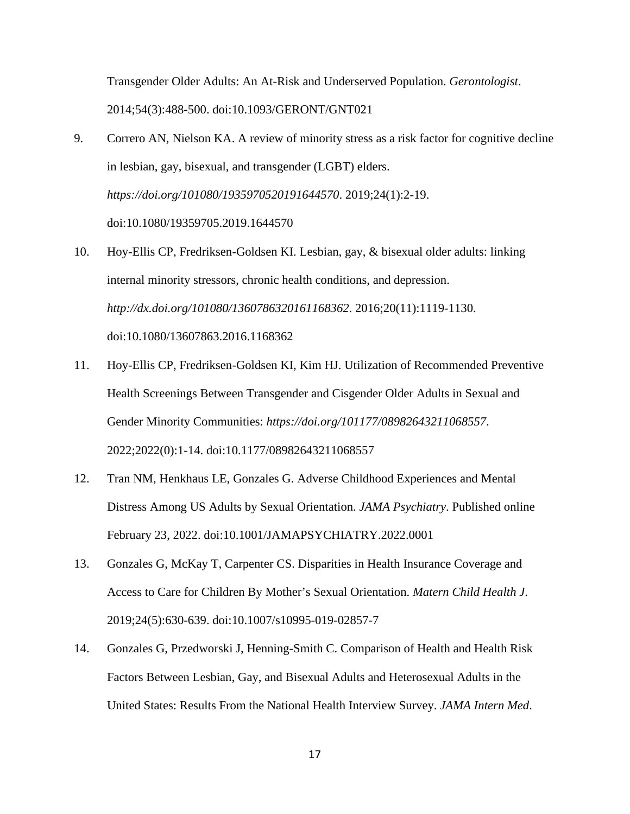Transgender Older Adults: An At-Risk and Underserved Population. *Gerontologist*. 2014;54(3):488-500. doi:10.1093/GERONT/GNT021

- 9. Correro AN, Nielson KA. A review of minority stress as a risk factor for cognitive decline in lesbian, gay, bisexual, and transgender (LGBT) elders. *https://doi.org/101080/1935970520191644570*. 2019;24(1):2-19. doi:10.1080/19359705.2019.1644570
- 10. Hoy-Ellis CP, Fredriksen-Goldsen KI. Lesbian, gay, & bisexual older adults: linking internal minority stressors, chronic health conditions, and depression. *http://dx.doi.org/101080/1360786320161168362*. 2016;20(11):1119-1130. doi:10.1080/13607863.2016.1168362
- 11. Hoy-Ellis CP, Fredriksen-Goldsen KI, Kim HJ. Utilization of Recommended Preventive Health Screenings Between Transgender and Cisgender Older Adults in Sexual and Gender Minority Communities: *https://doi.org/101177/08982643211068557*. 2022;2022(0):1-14. doi:10.1177/08982643211068557
- 12. Tran NM, Henkhaus LE, Gonzales G. Adverse Childhood Experiences and Mental Distress Among US Adults by Sexual Orientation. *JAMA Psychiatry*. Published online February 23, 2022. doi:10.1001/JAMAPSYCHIATRY.2022.0001
- 13. Gonzales G, McKay T, Carpenter CS. Disparities in Health Insurance Coverage and Access to Care for Children By Mother's Sexual Orientation. *Matern Child Health J*. 2019;24(5):630-639. doi:10.1007/s10995-019-02857-7
- 14. Gonzales G, Przedworski J, Henning-Smith C. Comparison of Health and Health Risk Factors Between Lesbian, Gay, and Bisexual Adults and Heterosexual Adults in the United States: Results From the National Health Interview Survey. *JAMA Intern Med*.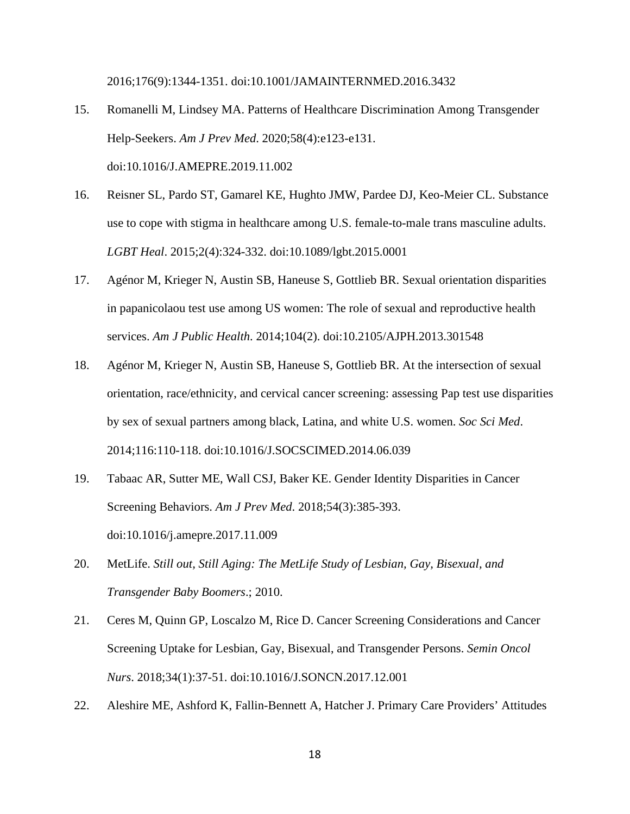2016;176(9):1344-1351. doi:10.1001/JAMAINTERNMED.2016.3432

- 15. Romanelli M, Lindsey MA. Patterns of Healthcare Discrimination Among Transgender Help-Seekers. *Am J Prev Med*. 2020;58(4):e123-e131. doi:10.1016/J.AMEPRE.2019.11.002
- 16. Reisner SL, Pardo ST, Gamarel KE, Hughto JMW, Pardee DJ, Keo-Meier CL. Substance use to cope with stigma in healthcare among U.S. female-to-male trans masculine adults. *LGBT Heal*. 2015;2(4):324-332. doi:10.1089/lgbt.2015.0001
- 17. Agénor M, Krieger N, Austin SB, Haneuse S, Gottlieb BR. Sexual orientation disparities in papanicolaou test use among US women: The role of sexual and reproductive health services. *Am J Public Health*. 2014;104(2). doi:10.2105/AJPH.2013.301548
- 18. Agénor M, Krieger N, Austin SB, Haneuse S, Gottlieb BR. At the intersection of sexual orientation, race/ethnicity, and cervical cancer screening: assessing Pap test use disparities by sex of sexual partners among black, Latina, and white U.S. women. *Soc Sci Med*. 2014;116:110-118. doi:10.1016/J.SOCSCIMED.2014.06.039
- 19. Tabaac AR, Sutter ME, Wall CSJ, Baker KE. Gender Identity Disparities in Cancer Screening Behaviors. *Am J Prev Med*. 2018;54(3):385-393. doi:10.1016/j.amepre.2017.11.009
- 20. MetLife. *Still out, Still Aging: The MetLife Study of Lesbian, Gay, Bisexual, and Transgender Baby Boomers*.; 2010.
- 21. Ceres M, Quinn GP, Loscalzo M, Rice D. Cancer Screening Considerations and Cancer Screening Uptake for Lesbian, Gay, Bisexual, and Transgender Persons. *Semin Oncol Nurs*. 2018;34(1):37-51. doi:10.1016/J.SONCN.2017.12.001
- 22. Aleshire ME, Ashford K, Fallin-Bennett A, Hatcher J. Primary Care Providers' Attitudes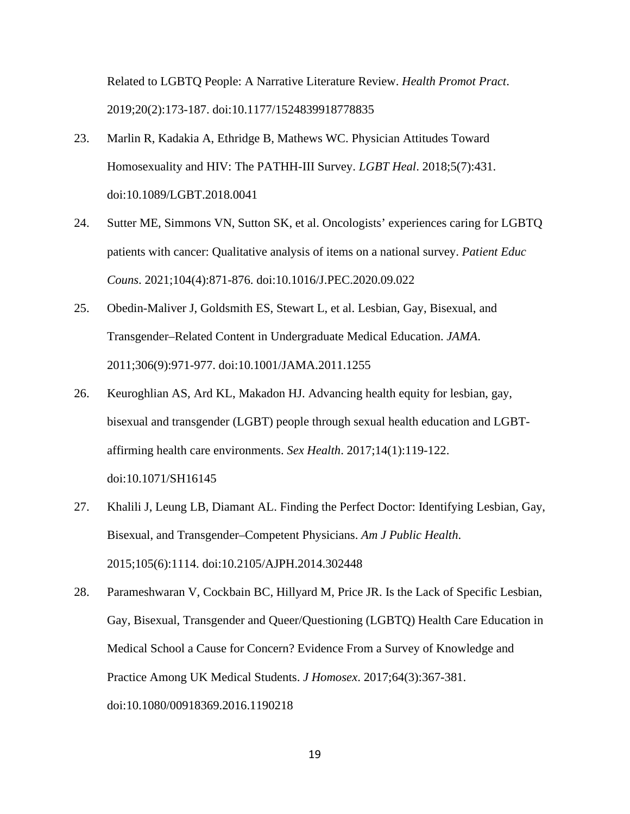Related to LGBTQ People: A Narrative Literature Review. *Health Promot Pract*. 2019;20(2):173-187. doi:10.1177/1524839918778835

- 23. Marlin R, Kadakia A, Ethridge B, Mathews WC. Physician Attitudes Toward Homosexuality and HIV: The PATHH-III Survey. *LGBT Heal*. 2018;5(7):431. doi:10.1089/LGBT.2018.0041
- 24. Sutter ME, Simmons VN, Sutton SK, et al. Oncologists' experiences caring for LGBTQ patients with cancer: Qualitative analysis of items on a national survey. *Patient Educ Couns*. 2021;104(4):871-876. doi:10.1016/J.PEC.2020.09.022
- 25. Obedin-Maliver J, Goldsmith ES, Stewart L, et al. Lesbian, Gay, Bisexual, and Transgender–Related Content in Undergraduate Medical Education. *JAMA*. 2011;306(9):971-977. doi:10.1001/JAMA.2011.1255
- 26. Keuroghlian AS, Ard KL, Makadon HJ. Advancing health equity for lesbian, gay, bisexual and transgender (LGBT) people through sexual health education and LGBTaffirming health care environments. *Sex Health*. 2017;14(1):119-122. doi:10.1071/SH16145
- 27. Khalili J, Leung LB, Diamant AL. Finding the Perfect Doctor: Identifying Lesbian, Gay, Bisexual, and Transgender–Competent Physicians. *Am J Public Health*. 2015;105(6):1114. doi:10.2105/AJPH.2014.302448
- 28. Parameshwaran V, Cockbain BC, Hillyard M, Price JR. Is the Lack of Specific Lesbian, Gay, Bisexual, Transgender and Queer/Questioning (LGBTQ) Health Care Education in Medical School a Cause for Concern? Evidence From a Survey of Knowledge and Practice Among UK Medical Students. *J Homosex*. 2017;64(3):367-381. doi:10.1080/00918369.2016.1190218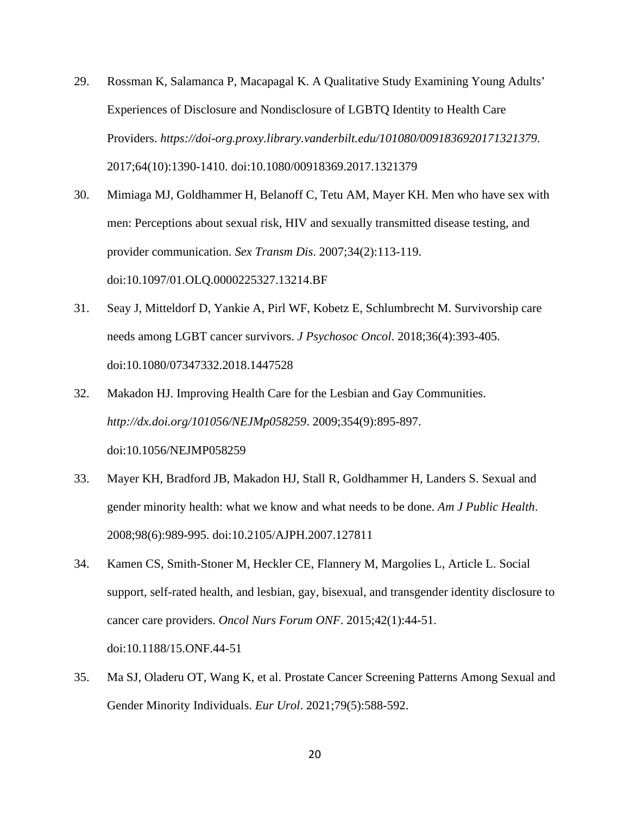- 29. Rossman K, Salamanca P, Macapagal K. A Qualitative Study Examining Young Adults' Experiences of Disclosure and Nondisclosure of LGBTQ Identity to Health Care Providers. *https://doi-org.proxy.library.vanderbilt.edu/101080/0091836920171321379*. 2017;64(10):1390-1410. doi:10.1080/00918369.2017.1321379
- 30. Mimiaga MJ, Goldhammer H, Belanoff C, Tetu AM, Mayer KH. Men who have sex with men: Perceptions about sexual risk, HIV and sexually transmitted disease testing, and provider communication. *Sex Transm Dis*. 2007;34(2):113-119. doi:10.1097/01.OLQ.0000225327.13214.BF
- 31. Seay J, Mitteldorf D, Yankie A, Pirl WF, Kobetz E, Schlumbrecht M. Survivorship care needs among LGBT cancer survivors. *J Psychosoc Oncol*. 2018;36(4):393-405. doi:10.1080/07347332.2018.1447528
- 32. Makadon HJ. Improving Health Care for the Lesbian and Gay Communities. *http://dx.doi.org/101056/NEJMp058259*. 2009;354(9):895-897. doi:10.1056/NEJMP058259
- 33. Mayer KH, Bradford JB, Makadon HJ, Stall R, Goldhammer H, Landers S. Sexual and gender minority health: what we know and what needs to be done. *Am J Public Health*. 2008;98(6):989-995. doi:10.2105/AJPH.2007.127811
- 34. Kamen CS, Smith-Stoner M, Heckler CE, Flannery M, Margolies L, Article L. Social support, self-rated health, and lesbian, gay, bisexual, and transgender identity disclosure to cancer care providers. *Oncol Nurs Forum ONF*. 2015;42(1):44-51. doi:10.1188/15.ONF.44-51
- 35. Ma SJ, Oladeru OT, Wang K, et al. Prostate Cancer Screening Patterns Among Sexual and Gender Minority Individuals. *Eur Urol*. 2021;79(5):588-592.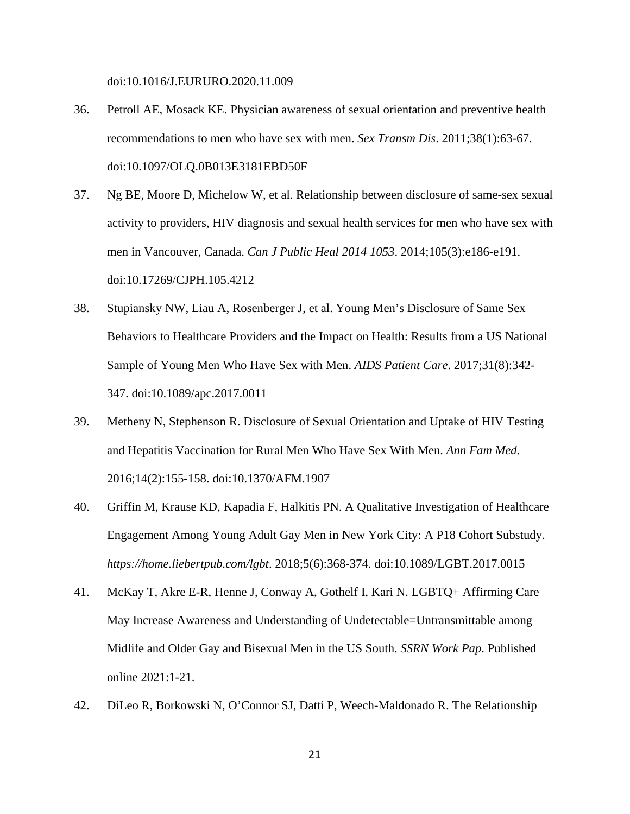doi:10.1016/J.EURURO.2020.11.009

- 36. Petroll AE, Mosack KE. Physician awareness of sexual orientation and preventive health recommendations to men who have sex with men. *Sex Transm Dis*. 2011;38(1):63-67. doi:10.1097/OLQ.0B013E3181EBD50F
- 37. Ng BE, Moore D, Michelow W, et al. Relationship between disclosure of same-sex sexual activity to providers, HIV diagnosis and sexual health services for men who have sex with men in Vancouver, Canada. *Can J Public Heal 2014 1053*. 2014;105(3):e186-e191. doi:10.17269/CJPH.105.4212
- 38. Stupiansky NW, Liau A, Rosenberger J, et al. Young Men's Disclosure of Same Sex Behaviors to Healthcare Providers and the Impact on Health: Results from a US National Sample of Young Men Who Have Sex with Men. *AIDS Patient Care*. 2017;31(8):342- 347. doi:10.1089/apc.2017.0011
- 39. Metheny N, Stephenson R. Disclosure of Sexual Orientation and Uptake of HIV Testing and Hepatitis Vaccination for Rural Men Who Have Sex With Men. *Ann Fam Med*. 2016;14(2):155-158. doi:10.1370/AFM.1907
- 40. Griffin M, Krause KD, Kapadia F, Halkitis PN. A Qualitative Investigation of Healthcare Engagement Among Young Adult Gay Men in New York City: A P18 Cohort Substudy. *https://home.liebertpub.com/lgbt*. 2018;5(6):368-374. doi:10.1089/LGBT.2017.0015
- 41. McKay T, Akre E-R, Henne J, Conway A, Gothelf I, Kari N. LGBTQ+ Affirming Care May Increase Awareness and Understanding of Undetectable=Untransmittable among Midlife and Older Gay and Bisexual Men in the US South. *SSRN Work Pap*. Published online 2021:1-21.
- 42. DiLeo R, Borkowski N, O'Connor SJ, Datti P, Weech-Maldonado R. The Relationship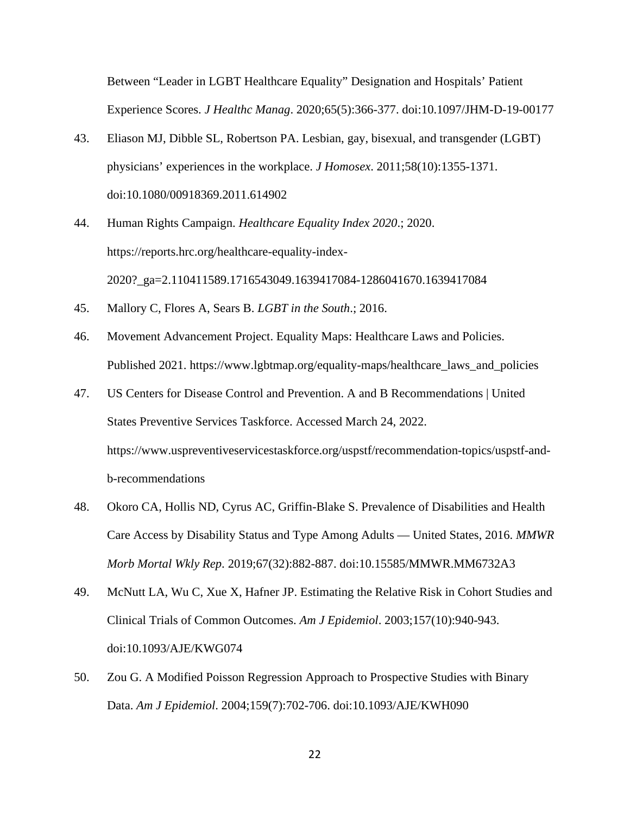Between "Leader in LGBT Healthcare Equality" Designation and Hospitals' Patient Experience Scores. *J Healthc Manag*. 2020;65(5):366-377. doi:10.1097/JHM-D-19-00177

- 43. Eliason MJ, Dibble SL, Robertson PA. Lesbian, gay, bisexual, and transgender (LGBT) physicians' experiences in the workplace. *J Homosex*. 2011;58(10):1355-1371. doi:10.1080/00918369.2011.614902
- 44. Human Rights Campaign. *Healthcare Equality Index 2020*.; 2020. https://reports.hrc.org/healthcare-equality-index-2020?\_ga=2.110411589.1716543049.1639417084-1286041670.1639417084
- 45. Mallory C, Flores A, Sears B. *LGBT in the South*.; 2016.
- 46. Movement Advancement Project. Equality Maps: Healthcare Laws and Policies. Published 2021. https://www.lgbtmap.org/equality-maps/healthcare\_laws\_and\_policies
- 47. US Centers for Disease Control and Prevention. A and B Recommendations | United States Preventive Services Taskforce. Accessed March 24, 2022. https://www.uspreventiveservicestaskforce.org/uspstf/recommendation-topics/uspstf-andb-recommendations
- 48. Okoro CA, Hollis ND, Cyrus AC, Griffin-Blake S. Prevalence of Disabilities and Health Care Access by Disability Status and Type Among Adults — United States, 2016. *MMWR Morb Mortal Wkly Rep*. 2019;67(32):882-887. doi:10.15585/MMWR.MM6732A3
- 49. McNutt LA, Wu C, Xue X, Hafner JP. Estimating the Relative Risk in Cohort Studies and Clinical Trials of Common Outcomes. *Am J Epidemiol*. 2003;157(10):940-943. doi:10.1093/AJE/KWG074
- 50. Zou G. A Modified Poisson Regression Approach to Prospective Studies with Binary Data. *Am J Epidemiol*. 2004;159(7):702-706. doi:10.1093/AJE/KWH090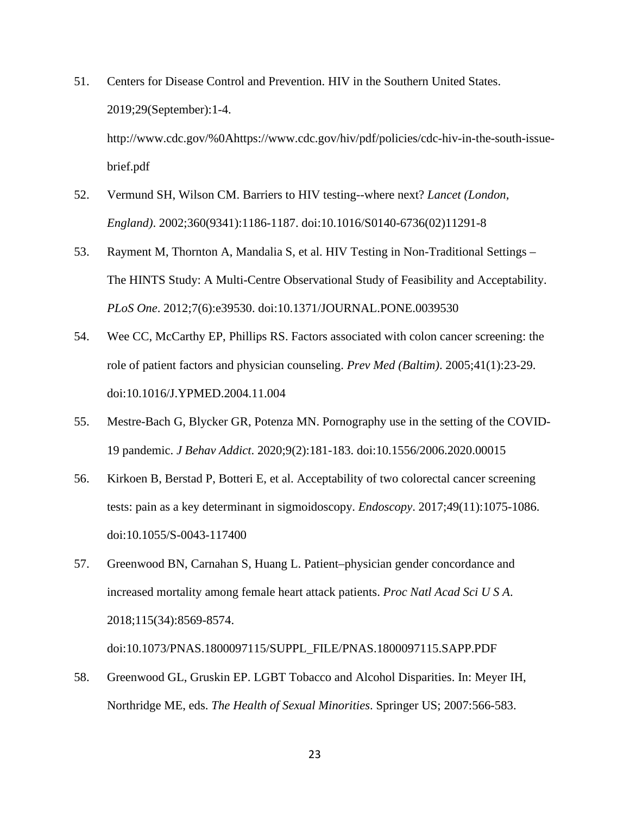51. Centers for Disease Control and Prevention. HIV in the Southern United States. 2019;29(September):1-4.

http://www.cdc.gov/%0Ahttps://www.cdc.gov/hiv/pdf/policies/cdc-hiv-in-the-south-issuebrief.pdf

- 52. Vermund SH, Wilson CM. Barriers to HIV testing--where next? *Lancet (London, England)*. 2002;360(9341):1186-1187. doi:10.1016/S0140-6736(02)11291-8
- 53. Rayment M, Thornton A, Mandalia S, et al. HIV Testing in Non-Traditional Settings The HINTS Study: A Multi-Centre Observational Study of Feasibility and Acceptability. *PLoS One*. 2012;7(6):e39530. doi:10.1371/JOURNAL.PONE.0039530
- 54. Wee CC, McCarthy EP, Phillips RS. Factors associated with colon cancer screening: the role of patient factors and physician counseling. *Prev Med (Baltim)*. 2005;41(1):23-29. doi:10.1016/J.YPMED.2004.11.004
- 55. Mestre-Bach G, Blycker GR, Potenza MN. Pornography use in the setting of the COVID-19 pandemic. *J Behav Addict*. 2020;9(2):181-183. doi:10.1556/2006.2020.00015
- 56. Kirkoen B, Berstad P, Botteri E, et al. Acceptability of two colorectal cancer screening tests: pain as a key determinant in sigmoidoscopy. *Endoscopy*. 2017;49(11):1075-1086. doi:10.1055/S-0043-117400
- 57. Greenwood BN, Carnahan S, Huang L. Patient–physician gender concordance and increased mortality among female heart attack patients. *Proc Natl Acad Sci U S A*. 2018;115(34):8569-8574.

doi:10.1073/PNAS.1800097115/SUPPL\_FILE/PNAS.1800097115.SAPP.PDF

58. Greenwood GL, Gruskin EP. LGBT Tobacco and Alcohol Disparities. In: Meyer IH, Northridge ME, eds. *The Health of Sexual Minorities*. Springer US; 2007:566-583.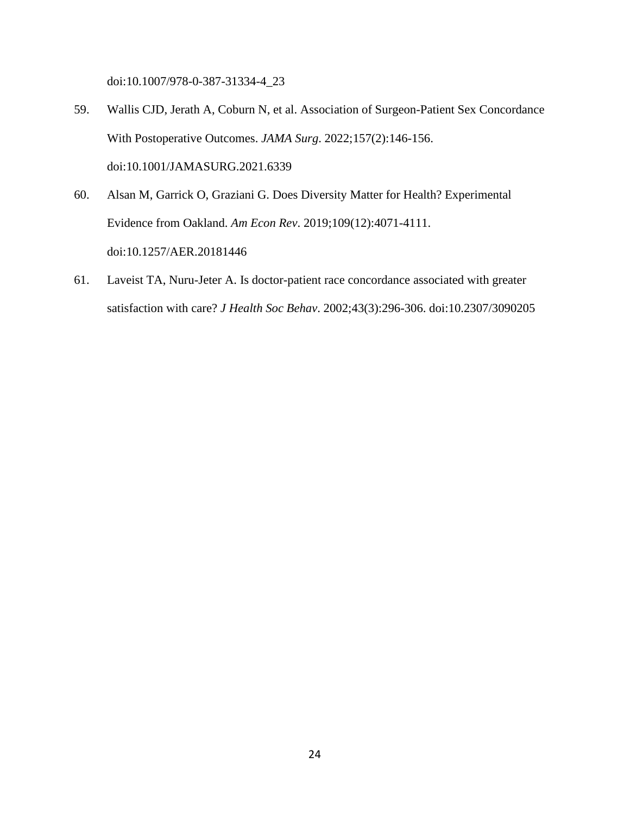doi:10.1007/978-0-387-31334-4\_23

- 59. Wallis CJD, Jerath A, Coburn N, et al. Association of Surgeon-Patient Sex Concordance With Postoperative Outcomes. *JAMA Surg*. 2022;157(2):146-156. doi:10.1001/JAMASURG.2021.6339
- 60. Alsan M, Garrick O, Graziani G. Does Diversity Matter for Health? Experimental Evidence from Oakland. *Am Econ Rev*. 2019;109(12):4071-4111. doi:10.1257/AER.20181446
- 61. Laveist TA, Nuru-Jeter A. Is doctor-patient race concordance associated with greater satisfaction with care? *J Health Soc Behav*. 2002;43(3):296-306. doi:10.2307/3090205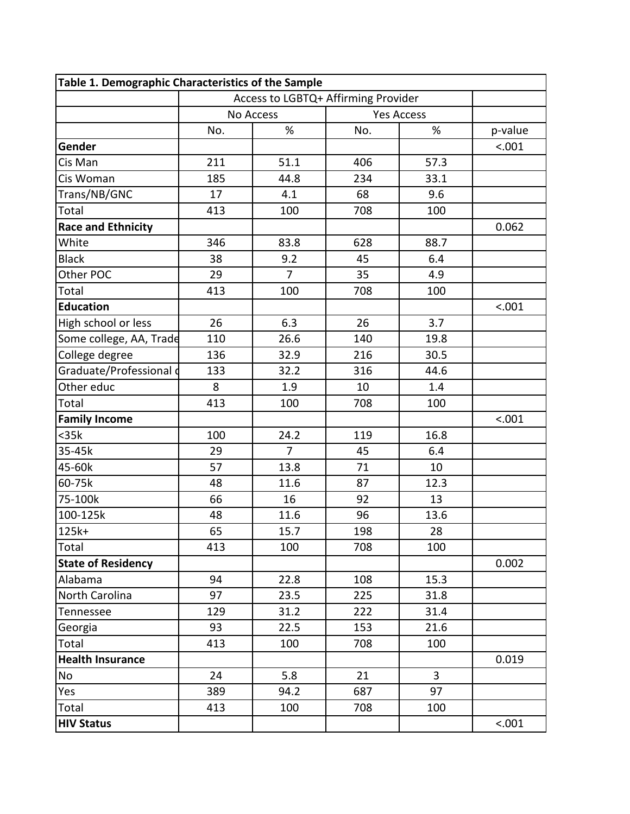| Table 1. Demographic Characteristics of the Sample |                                     |                |                   |      |         |
|----------------------------------------------------|-------------------------------------|----------------|-------------------|------|---------|
|                                                    | Access to LGBTQ+ Affirming Provider |                |                   |      |         |
|                                                    | <b>No Access</b>                    |                | <b>Yes Access</b> |      |         |
|                                                    | No.                                 | $\%$           | No.               | %    | p-value |
| Gender                                             |                                     |                |                   |      | < .001  |
| Cis Man                                            | 211                                 | 51.1           | 406               | 57.3 |         |
| Cis Woman                                          | 185                                 | 44.8           | 234               | 33.1 |         |
| Trans/NB/GNC                                       | 17                                  | 4.1            | 68                | 9.6  |         |
| Total                                              | 413                                 | 100            | 708               | 100  |         |
| <b>Race and Ethnicity</b>                          |                                     |                |                   |      | 0.062   |
| White                                              | 346                                 | 83.8           | 628               | 88.7 |         |
| <b>Black</b>                                       | 38                                  | 9.2            | 45                | 6.4  |         |
| Other POC                                          | 29                                  | $\overline{7}$ | 35                | 4.9  |         |
| Total                                              | 413                                 | 100            | 708               | 100  |         |
| <b>Education</b>                                   |                                     |                |                   |      | < .001  |
| High school or less                                | 26                                  | 6.3            | 26                | 3.7  |         |
| Some college, AA, Trade                            | 110                                 | 26.6           | 140               | 19.8 |         |
| College degree                                     | 136                                 | 32.9           | 216               | 30.5 |         |
| Graduate/Professional d                            | 133                                 | 32.2           | 316               | 44.6 |         |
| Other educ                                         | 8                                   | 1.9            | 10                | 1.4  |         |
| Total                                              | 413                                 | 100            | 708               | 100  |         |
| <b>Family Income</b>                               |                                     |                |                   |      | < .001  |
| $35k$                                              | 100                                 | 24.2           | 119               | 16.8 |         |
| 35-45k                                             | 29                                  | 7              | 45                | 6.4  |         |
| 45-60k                                             | 57                                  | 13.8           | 71                | 10   |         |
| 60-75k                                             | 48                                  | 11.6           | 87                | 12.3 |         |
| 75-100k                                            | 66                                  | 16             | 92                | 13   |         |
| 100-125k                                           | 48                                  | 11.6           | 96                | 13.6 |         |
| $125k+$                                            | 65                                  | 15.7           | 198               | 28   |         |
| Total                                              | 413                                 | 100            | 708               | 100  |         |
| <b>State of Residency</b>                          |                                     |                |                   |      | 0.002   |
| Alabama                                            | 94                                  | 22.8           | 108               | 15.3 |         |
| North Carolina                                     | 97                                  | 23.5           | 225               | 31.8 |         |
| Tennessee                                          | 129                                 | 31.2           | 222               | 31.4 |         |
| Georgia                                            | 93                                  | 22.5           | 153               | 21.6 |         |
| Total                                              | 413                                 | 100            | 708               | 100  |         |
| <b>Health Insurance</b>                            |                                     |                |                   |      | 0.019   |
| No                                                 | 24                                  | 5.8            | 21                | 3    |         |
| Yes                                                | 389                                 | 94.2           | 687               | 97   |         |
| Total                                              | 413                                 | 100            | 708               | 100  |         |
| <b>HIV Status</b>                                  |                                     |                |                   |      | < .001  |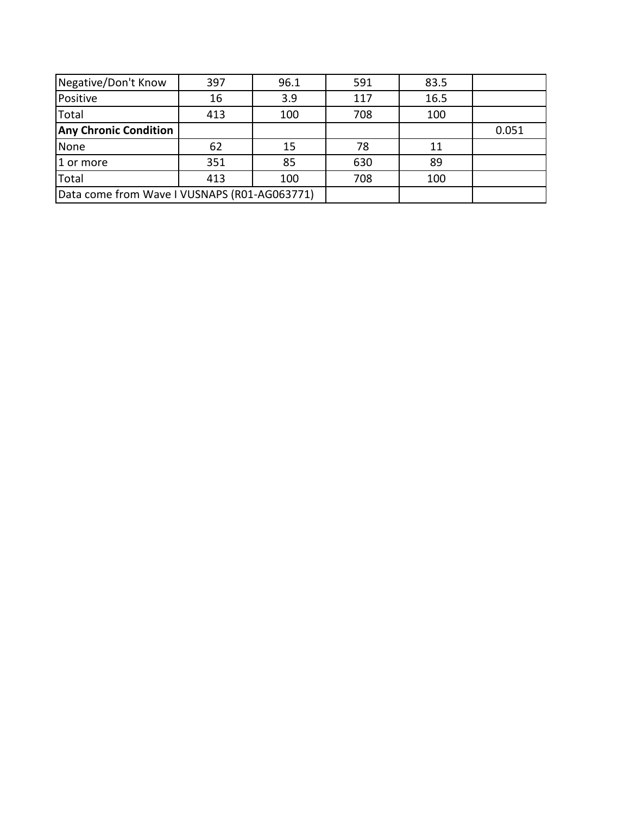| Negative/Don't Know                          | 397 | 96.1 | 591 | 83.5 |       |
|----------------------------------------------|-----|------|-----|------|-------|
| Positive                                     | 16  | 3.9  | 117 | 16.5 |       |
| Total                                        | 413 | 100  | 708 | 100  |       |
| <b>Any Chronic Condition</b>                 |     |      |     |      | 0.051 |
| None                                         | 62  | 15   | 78  | 11   |       |
| 1 or more                                    | 351 | 85   | 630 | 89   |       |
| Total                                        | 413 | 100  | 708 | 100  |       |
| Data come from Wave I VUSNAPS (R01-AG063771) |     |      |     |      |       |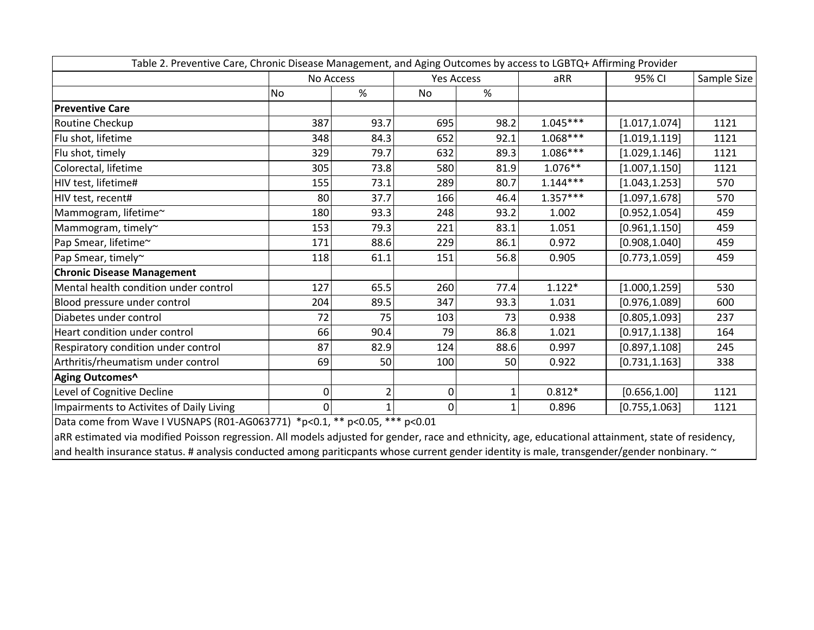| Table 2. Preventive Care, Chronic Disease Management, and Aging Outcomes by access to LGBTQ+ Affirming Provider                                     |     |           |                |                   |            |                |             |
|-----------------------------------------------------------------------------------------------------------------------------------------------------|-----|-----------|----------------|-------------------|------------|----------------|-------------|
|                                                                                                                                                     |     | No Access |                | <b>Yes Access</b> |            | 95% CI         | Sample Size |
|                                                                                                                                                     | No  | %         | <b>No</b>      | $\%$              |            |                |             |
| <b>Preventive Care</b>                                                                                                                              |     |           |                |                   |            |                |             |
| Routine Checkup                                                                                                                                     | 387 | 93.7      | 695            | 98.2              | $1.045***$ | [1.017, 1.074] | 1121        |
| Flu shot, lifetime                                                                                                                                  | 348 | 84.3      | 652            | 92.1              | $1.068***$ | [1.019, 1.119] | 1121        |
| Flu shot, timely                                                                                                                                    | 329 | 79.7      | 632            | 89.3              | $1.086***$ | [1.029, 1.146] | 1121        |
| Colorectal, lifetime                                                                                                                                | 305 | 73.8      | 580            | 81.9              | $1.076**$  | [1.007, 1.150] | 1121        |
| HIV test, lifetime#                                                                                                                                 | 155 | 73.1      | 289            | 80.7              | $1.144***$ | [1.043, 1.253] | 570         |
| HIV test, recent#                                                                                                                                   | 80  | 37.7      | 166            | 46.4              | $1.357***$ | [1.097, 1.678] | 570         |
| Mammogram, lifetime~                                                                                                                                | 180 | 93.3      | 248            | 93.2              | 1.002      | [0.952, 1.054] | 459         |
| Mammogram, timely~                                                                                                                                  | 153 | 79.3      | 221            | 83.1              | 1.051      | [0.961, 1.150] | 459         |
| Pap Smear, lifetime~                                                                                                                                | 171 | 88.6      | 229            | 86.1              | 0.972      | [0.908, 1.040] | 459         |
| Pap Smear, timely~                                                                                                                                  | 118 | 61.1      | 151            | 56.8              | 0.905      | [0.773, 1.059] | 459         |
| <b>Chronic Disease Management</b>                                                                                                                   |     |           |                |                   |            |                |             |
| Mental health condition under control                                                                                                               | 127 | 65.5      | 260            | 77.4              | $1.122*$   | [1.000, 1.259] | 530         |
| Blood pressure under control                                                                                                                        | 204 | 89.5      | 347            | 93.3              | 1.031      | [0.976, 1.089] | 600         |
| Diabetes under control                                                                                                                              | 72  | 75        | 103            | 73                | 0.938      | [0.805, 1.093] | 237         |
| Heart condition under control                                                                                                                       | 66  | 90.4      | 79             | 86.8              | 1.021      | [0.917, 1.138] | 164         |
| Respiratory condition under control                                                                                                                 | 87  | 82.9      | 124            | 88.6              | 0.997      | [0.897, 1.108] | 245         |
| Arthritis/rheumatism under control                                                                                                                  | 69  | 50        | 100            | 50                | 0.922      | [0.731, 1.163] | 338         |
| Aging Outcomes^                                                                                                                                     |     |           |                |                   |            |                |             |
| Level of Cognitive Decline                                                                                                                          | 0   |           | 0              |                   | $0.812*$   | [0.656, 1.00]  | 1121        |
| Impairments to Activites of Daily Living                                                                                                            | 0   |           | $\overline{0}$ | 1                 | 0.896      | [0.755, 1.063] | 1121        |
| Data come from Wave I VUSNAPS (R01-AG063771) *p<0.1, ** p<0.05, *** p<0.01                                                                          |     |           |                |                   |            |                |             |
| aRR estimated via modified Poisson regression. All models adjusted for gender, race and ethnicity, age, educational attainment, state of residency, |     |           |                |                   |            |                |             |
| and health insurance status # analysis conducted among paritic ants whose current gender identity is male transgender/gender nonhinary $\sim$       |     |           |                |                   |            |                |             |

and health insurance status. # analysis conducted among pariticpants whose current gender identity is male, transgender/gender nonbinary. ~